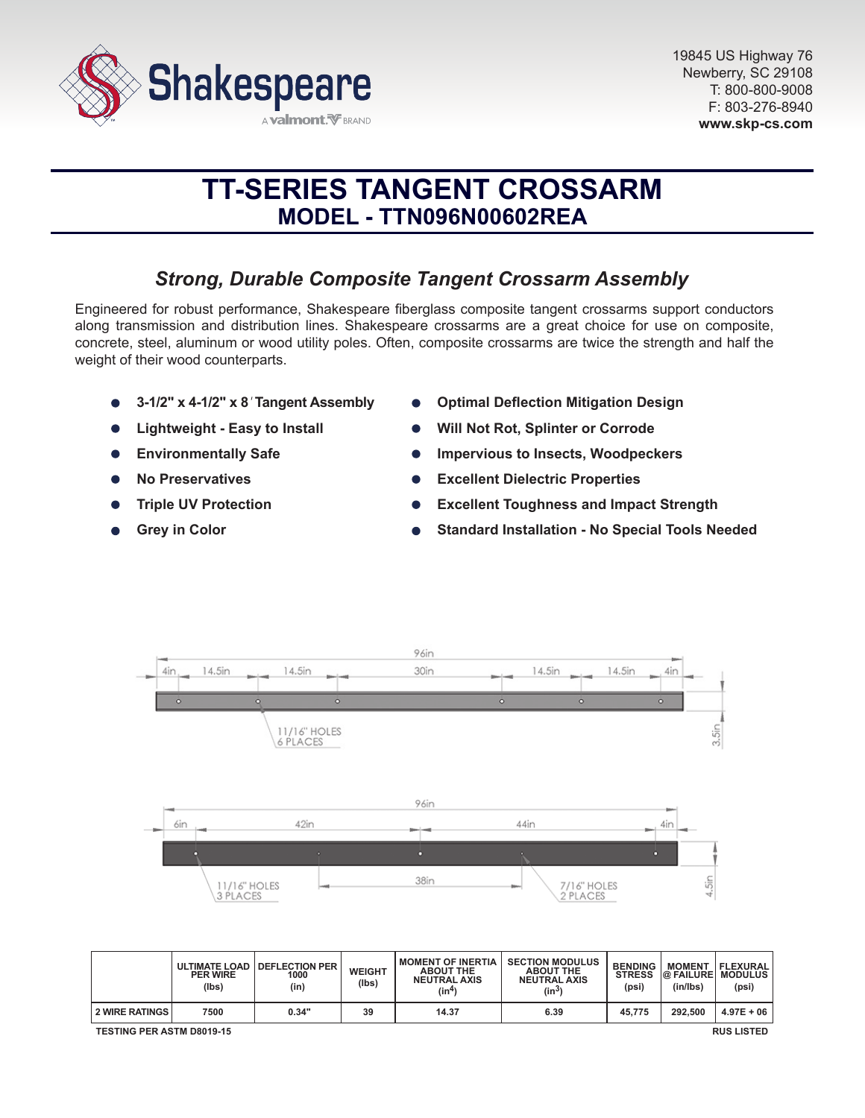

# **TT-SERIES TANGENT CROSSARM MODEL - TTN096N00602REA**

# *Strong, Durable Composite Tangent Crossarm Assembly*

Engineered for robust performance, Shakespeare fiberglass composite tangent crossarms support conductors along transmission and distribution lines. Shakespeare crossarms are a great choice for use on composite, concrete, steel, aluminum or wood utility poles. Often, composite crossarms are twice the strength and half the weight of their wood counterparts.

- **3-1/2" x 4-1/2" x 8***'* **Tangent Assembly**
- **Lightweight Easy to Install**
- **Environmentally Safe**  $\bullet$
- **No Preservatives**
- **Triple UV Protection**
- **Grey in Color**
- **Optimal Deflection Mitigation Design**
- **Will Not Rot, Splinter or Corrode**
- **Impervious to Insects, Woodpeckers**
- **Excellent Dielectric Properties**
- **Excellent Toughness and Impact Strength**
- **Standard Installation No Special Tools Needed**



|                                                       | <b>PER WIRE</b><br>(lbs) | ULTIMATE LOAD   DEFLECTION PER<br>1000<br>(in) | <b>WEIGHT</b><br>(Ibs) | <b>MOMENT OF INERTIA</b><br><b>ABOUT THE</b><br><b>NEUTRAL AXIS</b><br>(in4) | <b>SECTION MODULUS</b><br><b>ABOUT THE</b><br><b>NEUTRAL AXIS</b><br>$(in^3)$ | <b>BENDING</b><br><b>STRESS</b><br>(psi) | <b>MOMENT</b><br><b>@ FAILURE MODULUS</b><br>(in/lbs) | FLEXURAL<br>(psi) |
|-------------------------------------------------------|--------------------------|------------------------------------------------|------------------------|------------------------------------------------------------------------------|-------------------------------------------------------------------------------|------------------------------------------|-------------------------------------------------------|-------------------|
| <b>2 WIRE RATINGS</b>                                 | 7500                     | 0.34"                                          | 39                     | 14.37                                                                        | 6.39                                                                          | 45.775                                   | 292.500                                               | $4.97E + 06$      |
| <b>TESTING PER ASTM D8019-15</b><br><b>RUS LISTED</b> |                          |                                                |                        |                                                                              |                                                                               |                                          |                                                       |                   |